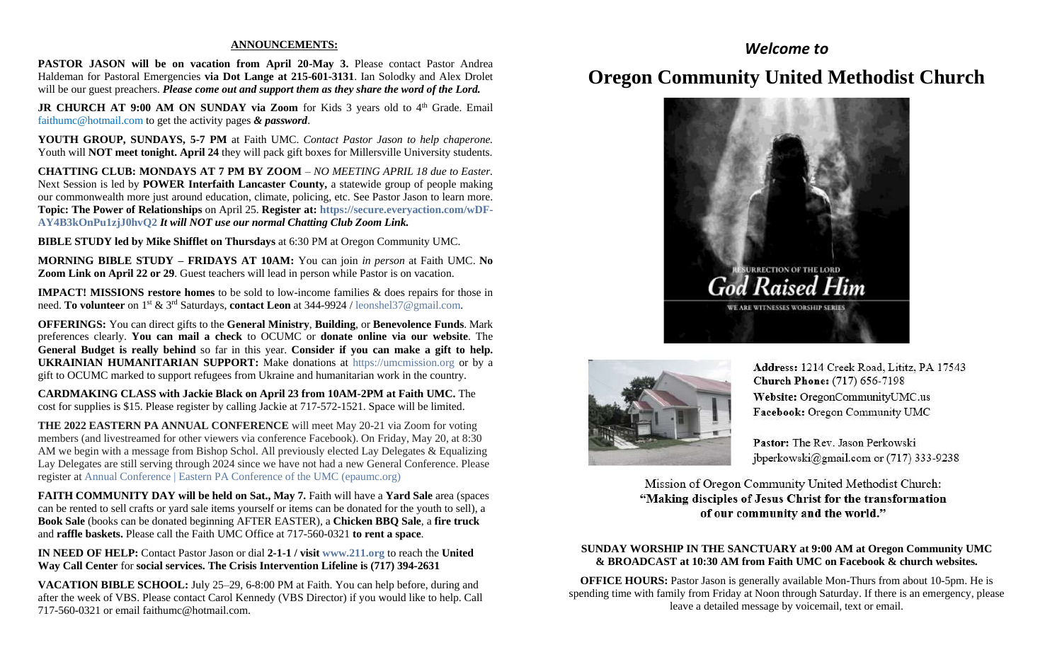#### **ANNOUNCEMENTS:**

**PASTOR JASON will be on vacation from April 20-May 3.** Please contact Pastor Andrea Haldeman for Pastoral Emergencies **via Dot Lange at 215-601-3131**. Ian Solodky and Alex Drolet will be our guest preachers. *Please come out and support them as they share the word of the Lord.*

**JR CHURCH AT 9:00 AM ON SUNDAY via Zoom** for Kids 3 years old to 4<sup>th</sup> Grade. Email [faithumc@hotmail.com](about:blank) to get the activity pages *& password*.

**YOUTH GROUP, SUNDAYS, 5-7 PM** at Faith UMC. *Contact Pastor Jason to help chaperone.* Youth will **NOT meet tonight. April 24** they will pack gift boxes for Millersville University students.

**CHATTING CLUB: MONDAYS AT 7 PM BY ZOOM** – *NO MEETING APRIL 18 due to Easter.* Next Session is led by **POWER Interfaith Lancaster County,** a statewide group of people making our commonwealth more just around education, climate, policing, etc. See Pastor Jason to learn more. **Topic: The Power of Relationships** on April 25. **Register at: [https://secure.everyaction.com/wDF-](about:blank)[AY4B3kOnPu1zjJ0hvQ2](about:blank)** *It will NOT use our normal Chatting Club Zoom Link.*

**BIBLE STUDY led by Mike Shifflet on Thursdays** at 6:30 PM at Oregon Community UMC.

**MORNING BIBLE STUDY – FRIDAYS AT 10AM:** You can join *in person* at Faith UMC. **No Zoom Link on April 22 or 29.** Guest teachers will lead in person while Pastor is on vacation.

**IMPACT! MISSIONS restore homes** to be sold to low-income families & does repairs for those in need. **To volunteer** on 1st & 3rd Saturdays, **contact Leon** at 344-9924 / [leonshel37@gmail.com.](about:blank)

**OFFERINGS:** You can direct gifts to the **General Ministry**, **Building**, or **Benevolence Funds**. Mark preferences clearly. **You can mail a check** to OCUMC or **donate online via our website**. The **General Budget is really behind** so far in this year. **Consider if you can make a gift to help. UKRAINIAN HUMANITARIAN SUPPORT:** Make donations at [https://umcmission.org](about:blank) or by a gift to OCUMC marked to support refugees from Ukraine and humanitarian work in the country.

**CARDMAKING CLASS with Jackie Black on April 23 from 10AM-2PM at Faith UMC.** The cost for supplies is \$15. Please register by calling Jackie at 717-572-1521. Space will be limited.

**THE 2022 EASTERN PA ANNUAL CONFERENCE** will meet May 20-21 via Zoom for voting members (and livestreamed for other viewers via conference Facebook). On Friday, May 20, at 8:30 AM we begin with a message from Bishop Schol. All previously elected Lay Delegates & Equalizing Lay Delegates are still serving through 2024 since we have not had a new General Conference. Please register at [Annual Conference | Eastern PA Conference of the UMC \(epaumc.org\)](https://www.epaumc.org/events/annual-conference/)

**FAITH COMMUNITY DAY will be held on Sat., May 7.** Faith will have a **Yard Sale** area (spaces can be rented to sell crafts or yard sale items yourself or items can be donated for the youth to sell), a **Book Sale** (books can be donated beginning AFTER EASTER), a **Chicken BBQ Sale**, a **fire truck** and **raffle baskets.** Please call the Faith UMC Office at 717-560-0321 **to rent a space**.

**IN NEED OF HELP:** Contact Pastor Jason or dial **2-1-1 / visit [www.211.org](http://www.211.org/)** to reach the **United Way Call Center** for **social services. The Crisis Intervention Lifeline is (717) 394-2631**

**VACATION BIBLE SCHOOL:** July 25–29, 6-8:00 PM at Faith. You can help before, during and after the week of VBS. Please contact Carol Kennedy (VBS Director) if you would like to help. Call 717-560-0321 or email faithumc@hotmail.com.

### *Welcome to*

## **Oregon Community United Methodist Church**





Address: 1214 Creek Road, Lititz, PA 17543 **Church Phone:** (717) 656-7198 Website: OregonCommunityUMC.us Facebook: Oregon Community UMC

Pastor: The Rev. Jason Perkowski jbperkowski@gmail.com or (717) 333-9238

Mission of Oregon Community United Methodist Church: "Making disciples of Jesus Christ for the transformation of our community and the world."

### **SUNDAY WORSHIP IN THE SANCTUARY at 9:00 AM at Oregon Community UMC & BROADCAST at 10:30 AM from Faith UMC on Facebook & church websites.**

**OFFICE HOURS:** Pastor Jason is generally available Mon-Thurs from about 10-5pm. He is spending time with family from Friday at Noon through Saturday. If there is an emergency, please leave a detailed message by voicemail, text or email.